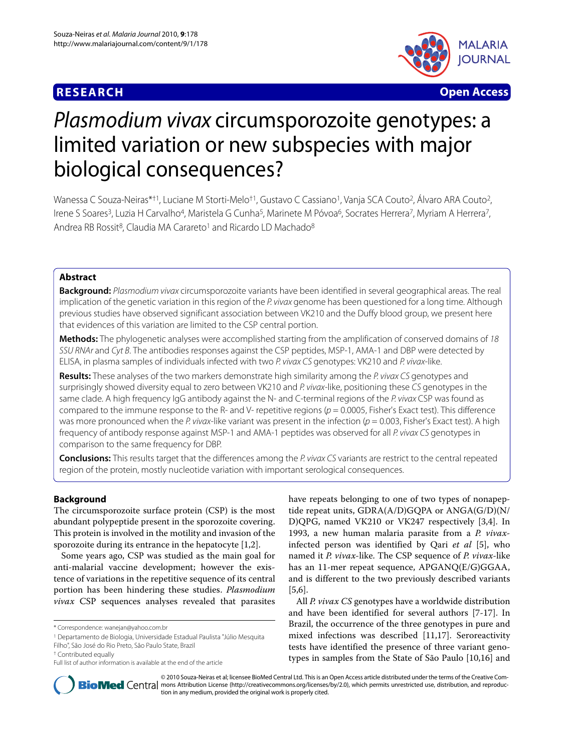## **RESEARCH Open Access**



# Plasmodium vivax circumsporozoite genotypes: a limited variation or new subspecies with major biological consequences?

Wanessa C Souza-Neiras\*†1, Luciane M Storti-Melo<sup>†1</sup>, Gustavo C Cassiano<sup>1</sup>, Vanja SCA Couto<sup>2</sup>, Álvaro ARA Couto<sup>2</sup>, Irene S Soares<sup>3</sup>, Luzia H Carvalho<sup>4</sup>, Maristela G Cunha<sup>5</sup>, Marinete M Póvoa<sup>6</sup>, Socrates Herrera<sup>7</sup>, Myriam A Herrera<sup>7</sup>, Andrea RB Rossit<sup>8</sup>, Claudia MA Carareto<sup>1</sup> and Ricardo LD Machado<sup>8</sup>

## **Abstract**

**Background:** Plasmodium vivax circumsporozoite variants have been identified in several geographical areas. The real implication of the genetic variation in this region of the P. vivax genome has been questioned for a long time. Although previous studies have observed significant association between VK210 and the Duffy blood group, we present here that evidences of this variation are limited to the CSP central portion.

**Methods:** The phylogenetic analyses were accomplished starting from the amplification of conserved domains of 18 SSU RNAr and Cyt B. The antibodies responses against the CSP peptides, MSP-1, AMA-1 and DBP were detected by ELISA, in plasma samples of individuals infected with two P. vivax CS genotypes: VK210 and P. vivax-like.

**Results:** These analyses of the two markers demonstrate high similarity among the P. vivax CS genotypes and surprisingly showed diversity equal to zero between VK210 and P. vivax-like, positioning these CS genotypes in the same clade. A high frequency IgG antibody against the N- and C-terminal regions of the P. vivax CSP was found as compared to the immune response to the R- and V- repetitive regions ( $p = 0.0005$ , Fisher's Exact test). This difference was more pronounced when the P. vivax-like variant was present in the infection ( $p = 0.003$ , Fisher's Exact test). A high frequency of antibody response against MSP-1 and AMA-1 peptides was observed for all P. vivax CS genotypes in comparison to the same frequency for DBP.

**Conclusions:** This results target that the differences among the P. vivax CS variants are restrict to the central repeated region of the protein, mostly nucleotide variation with important serological consequences.

## **Background**

The circumsporozoite surface protein (CSP) is the most abundant polypeptide present in the sporozoite covering. This protein is involved in the motility and invasion of the sporozoite during its entrance in the hepatocyte [[1](#page-6-0),[2\]](#page-6-1).

Some years ago, CSP was studied as the main goal for anti-malarial vaccine development; however the existence of variations in the repetitive sequence of its central portion has been hindering these studies. *Plasmodium vivax* CSP sequences analyses revealed that parasites

1 Departamento de Biologia, Universidade Estadual Paulista "Júlio Mesquita Filho", São José do Rio Preto, São Paulo State, Brazil

have repeats belonging to one of two types of nonapeptide repeat units, GDRA(A/D)GQPA or ANGA(G/D)(N/ D)QPG, named VK210 or VK247 respectively [\[3](#page-6-2)[,4](#page-6-3)]. In 1993, a new human malaria parasite from a *P. vivax*infected person was identified by Qari *et al* [[5\]](#page-6-4), who named it *P. vivax*-like. The CSP sequence of *P. vivax*-like has an 11-mer repeat sequence, APGANQ(E/G)GGAA, and is different to the two previously described variants [[5,](#page-6-4)[6\]](#page-6-5).

All *P. vivax CS* genotypes have a worldwide distribution and have been identified for several authors [[7](#page-6-6)[-17](#page-6-7)]. In Brazil, the occurrence of the three genotypes in pure and mixed infections was described [[11](#page-6-8),[17](#page-6-7)]. Seroreactivity tests have identified the presence of three variant genotypes in samples from the State of São Paulo [\[10](#page-6-9)[,16](#page-6-10)] and



© 2010 Souza-Neiras et al; licensee BioMed Central Ltd. This is an Open Access article distributed under the terms of the Creative Com-**BioMed** Central mons Attribution License (http://creativecommons.org/licenses/by/2.0), which permits unrestricted use, distribution, and reproduction in any medium, provided the original work is properly cited.

<sup>\*</sup> Correspondence: wanejan@yahoo.com.br

<sup>†</sup> Contributed equally

Full list of author information is available at the end of the article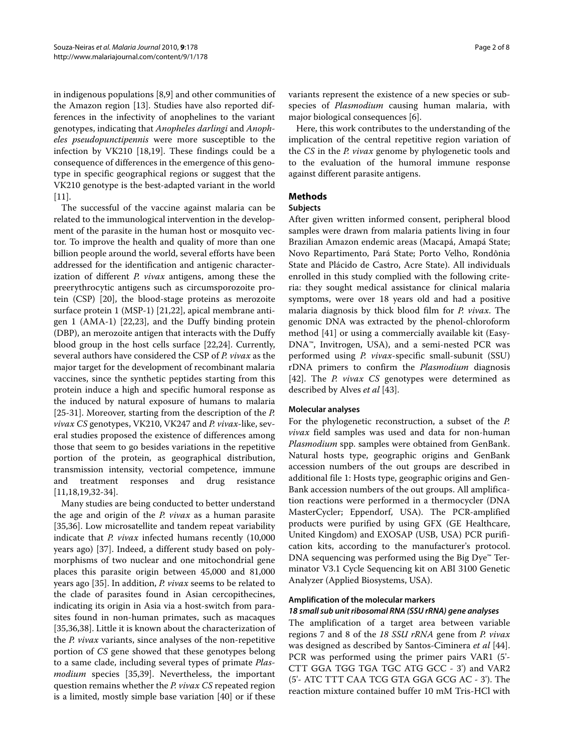in indigenous populations [[8,](#page-6-11)[9\]](#page-6-12) and other communities of the Amazon region [[13\]](#page-6-13). Studies have also reported differences in the infectivity of anophelines to the variant genotypes, indicating that *Anopheles darlingi* and *Anopheles pseudopunctipennis* were more susceptible to the infection by VK210 [\[18](#page-6-14)[,19](#page-6-15)]. These findings could be a consequence of differences in the emergence of this genotype in specific geographical regions or suggest that the VK210 genotype is the best-adapted variant in the world [[11\]](#page-6-8).

The successful of the vaccine against malaria can be related to the immunological intervention in the development of the parasite in the human host or mosquito vector. To improve the health and quality of more than one billion people around the world, several efforts have been addressed for the identification and antigenic characterization of different *P. vivax* antigens, among these the preerythrocytic antigens such as circumsporozoite protein (CSP) [\[20](#page-6-16)], the blood-stage proteins as merozoite surface protein 1 (MSP-1) [\[21](#page-6-17)[,22](#page-6-18)], apical membrane antigen 1 (AMA-1) [\[22](#page-6-18)[,23](#page-6-19)], and the Duffy binding protein (DBP), an merozoite antigen that interacts with the Duffy blood group in the host cells surface [\[22](#page-6-18)[,24](#page-6-20)]. Currently, several authors have considered the CSP of *P. vivax* as the major target for the development of recombinant malaria vaccines, since the synthetic peptides starting from this protein induce a high and specific humoral response as the induced by natural exposure of humans to malaria [[25-](#page-7-0)[31](#page-7-1)]. Moreover, starting from the description of the *P. vivax CS* genotypes, VK210, VK247 and *P. vivax*-like, several studies proposed the existence of differences among those that seem to go besides variations in the repetitive portion of the protein, as geographical distribution, transmission intensity, vectorial competence, immune and treatment responses and drug resistance [[11,](#page-6-8)[18,](#page-6-14)[19,](#page-6-15)[32-](#page-7-2)[34](#page-7-3)].

Many studies are being conducted to better understand the age and origin of the *P. vivax* as a human parasite [[35,](#page-7-4)[36\]](#page-7-5). Low microsatellite and tandem repeat variability indicate that *P. vivax* infected humans recently (10,000 years ago) [[37\]](#page-7-6). Indeed, a different study based on polymorphisms of two nuclear and one mitochondrial gene places this parasite origin between 45,000 and 81,000 years ago [\[35\]](#page-7-4). In addition, *P. vivax* seems to be related to the clade of parasites found in Asian cercopithecines, indicating its origin in Asia via a host-switch from parasites found in non-human primates, such as macaques [[35,](#page-7-4)[36,](#page-7-5)[38\]](#page-7-7). Little it is known about the characterization of the *P. vivax* variants, since analyses of the non-repetitive portion of *CS* gene showed that these genotypes belong to a same clade, including several types of primate *Plasmodium* species [\[35](#page-7-4)[,39](#page-7-8)]. Nevertheless, the important question remains whether the *P. vivax CS* repeated region is a limited, mostly simple base variation [\[40](#page-7-9)] or if these variants represent the existence of a new species or subspecies of *Plasmodium* causing human malaria, with major biological consequences [[6\]](#page-6-5).

Here, this work contributes to the understanding of the implication of the central repetitive region variation of the *CS* in the *P. vivax* genome by phylogenetic tools and to the evaluation of the humoral immune response against different parasite antigens.

## **Methods**

## **Subjects**

After given written informed consent, peripheral blood samples were drawn from malaria patients living in four Brazilian Amazon endemic areas (Macapá, Amapá State; Novo Repartimento, Pará State; Porto Velho, Rondônia State and Plácido de Castro, Acre State). All individuals enrolled in this study complied with the following criteria: they sought medical assistance for clinical malaria symptoms, were over 18 years old and had a positive malaria diagnosis by thick blood film for *P. vivax*. The genomic DNA was extracted by the phenol-chloroform method [[41\]](#page-7-10) or using a commercially available kit (Easy-DNA™, Invitrogen, USA), and a semi-nested PCR was performed using *P. vivax*-specific small-subunit (SSU) rDNA primers to confirm the *Plasmodium* diagnosis [[42\]](#page-7-11). The *P. vivax CS* genotypes were determined as described by Alves *et al* [\[43](#page-7-12)].

## **Molecular analyses**

For the phylogenetic reconstruction, a subset of the *P. vivax* field samples was used and data for non-human *Plasmodium* spp. samples were obtained from GenBank. Natural hosts type, geographic origins and GenBank accession numbers of the out groups are described in additional file [1](#page-6-21): Hosts type, geographic origins and Gen-Bank accession numbers of the out groups. All amplification reactions were performed in a thermocycler (DNA MasterCycler; Eppendorf, USA). The PCR-amplified products were purified by using GFX (GE Healthcare, United Kingdom) and EXOSAP (USB, USA) PCR purification kits, according to the manufacturer's protocol. DNA sequencing was performed using the Big Dye™ Terminator V3.1 Cycle Sequencing kit on ABI 3100 Genetic Analyzer (Applied Biosystems, USA).

#### **Amplification of the molecular markers**

#### **18 small sub unit ribosomal RNA (SSU rRNA) gene analyses**

The amplification of a target area between variable regions 7 and 8 of the *18 SSU rRNA* gene from *P. vivax* was designed as described by Santos-Ciminera *et al* [\[44](#page-7-13)]. PCR was performed using the primer pairs VAR1 (5'- CTT GGA TGG TGA TGC ATG GCC - 3') and VAR2 (5'- ATC TTT CAA TCG GTA GGA GCG AC - 3'). The reaction mixture contained buffer 10 mM Tris-HCl with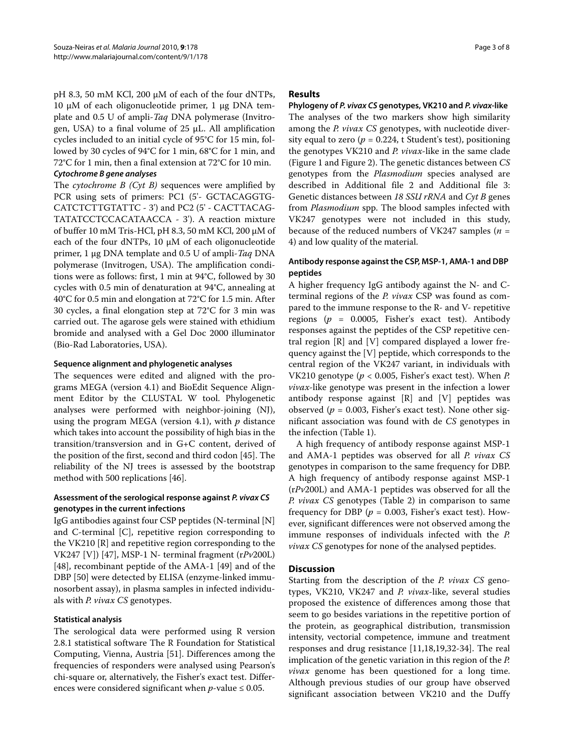pH 8.3, 50 mM KCl, 200 μM of each of the four dNTPs, 10 μM of each oligonucleotide primer, 1 μg DNA template and 0.5 U of ampli-*Taq* DNA polymerase (Invitrogen, USA) to a final volume of 25 μL. All amplification cycles included to an initial cycle of 95°C for 15 min, followed by 30 cycles of 94°C for 1 min, 68°C for 1 min, and 72°C for 1 min, then a final extension at 72°C for 10 min.

## **Cytochrome B gene analyses**

The *cytochrome B (Cyt B)* sequences were amplified by PCR using sets of primers: PC1 (5'- GCTACAGGTG-CATCTCTTGTATTC - 3') and PC2 (5' - CACTTACAG-TATATCCTCCACATAACCA - 3'). A reaction mixture of buffer 10 mM Tris-HCl, pH 8.3, 50 mM KCl, 200 μM of each of the four dNTPs, 10 μM of each oligonucleotide primer, 1 μg DNA template and 0.5 U of ampli-*Taq* DNA polymerase (Invitrogen, USA). The amplification conditions were as follows: first, 1 min at 94°C, followed by 30 cycles with 0.5 min of denaturation at 94°C, annealing at 40°C for 0.5 min and elongation at 72°C for 1.5 min. After 30 cycles, a final elongation step at 72°C for 3 min was carried out. The agarose gels were stained with ethidium bromide and analysed with a Gel Doc 2000 illuminator (Bio-Rad Laboratories, USA).

## **Sequence alignment and phylogenetic analyses**

The sequences were edited and aligned with the programs MEGA (version 4.1) and BioEdit Sequence Alignment Editor by the CLUSTAL W tool. Phylogenetic analyses were performed with neighbor-joining (NJ), using the program MEGA (version 4.1), with *p* distance which takes into account the possibility of high bias in the transition/transversion and in G+C content, derived of the position of the first, second and third codon [[45\]](#page-7-14). The reliability of the NJ trees is assessed by the bootstrap method with 500 replications [[46\]](#page-7-15).

## **Assessment of the serological response against P. vivax CS genotypes in the current infections**

IgG antibodies against four CSP peptides (N-terminal [N] and C-terminal [C], repetitive region corresponding to the VK210 [R] and repetitive region corresponding to the VK247 [V]) [\[47](#page-7-16)], MSP-1 N- terminal fragment (r*Pv*200L) [[48\]](#page-7-17), recombinant peptide of the AMA-1 [\[49](#page-7-18)] and of the DBP [[50\]](#page-7-19) were detected by ELISA (enzyme-linked immunosorbent assay), in plasma samples in infected individuals with *P. vivax CS* genotypes.

## **Statistical analysis**

The serological data were performed using R version 2.8.1 statistical software The R Foundation for Statistical Computing, Vienna, Austria [[51\]](#page-7-20). Differences among the frequencies of responders were analysed using Pearson's chi-square or, alternatively, the Fisher's exact test. Differences were considered significant when  $p$ -value  $\leq 0.05$ .

## **Results**

**Phylogeny of P. vivax CS genotypes, VK210 and P. vivax-like** The analyses of the two markers show high similarity among the *P. vivax CS* genotypes, with nucleotide diversity equal to zero ( $p = 0.224$ , t Student's test), positioning the genotypes VK210 and *P. vivax*-like in the same clade (Figure [1](#page-3-0) and Figure [2](#page-4-0)). The genetic distances between *CS* genotypes from the *Plasmodium* species analysed are described in Additional file [2](#page-6-22) and Additional file [3](#page-6-23): Genetic distances between *18 SSU rRNA* and *Cyt B* genes from *Plasmodium* spp. The blood samples infected with VK247 genotypes were not included in this study, because of the reduced numbers of VK247 samples (*n* = 4) and low quality of the material.

## **Antibody response against the CSP, MSP-1, AMA-1 and DBP peptides**

A higher frequency IgG antibody against the N- and Cterminal regions of the *P. vivax* CSP was found as compared to the immune response to the R- and V- repetitive regions (*p* = 0.0005, Fisher's exact test). Antibody responses against the peptides of the CSP repetitive central region [R] and [V] compared displayed a lower frequency against the [V] peptide, which corresponds to the central region of the VK247 variant, in individuals with VK210 genotype (*p* < 0.005, Fisher's exact test). When *P. vivax*-like genotype was present in the infection a lower antibody response against [R] and [V] peptides was observed ( $p = 0.003$ , Fisher's exact test). None other significant association was found with de *CS* genotypes in the infection (Table 1).

A high frequency of antibody response against MSP-1 and AMA-1 peptides was observed for all *P. vivax CS* genotypes in comparison to the same frequency for DBP. A high frequency of antibody response against MSP-1 (r*Pv*200L) and AMA-1 peptides was observed for all the *P. vivax CS* genotypes (Table 2) in comparison to same frequency for DBP ( $p = 0.003$ , Fisher's exact test). However, significant differences were not observed among the immune responses of individuals infected with the *P. vivax CS* genotypes for none of the analysed peptides.

## **Discussion**

Starting from the description of the *P. vivax CS* genotypes, VK210, VK247 and *P. vivax*-like, several studies proposed the existence of differences among those that seem to go besides variations in the repetitive portion of the protein, as geographical distribution, transmission intensity, vectorial competence, immune and treatment responses and drug resistance [[11,](#page-6-8)[18,](#page-6-14)[19,](#page-6-15)[32](#page-7-2)[-34](#page-7-3)]. The real implication of the genetic variation in this region of the *P. vivax* genome has been questioned for a long time. Although previous studies of our group have observed significant association between VK210 and the Duffy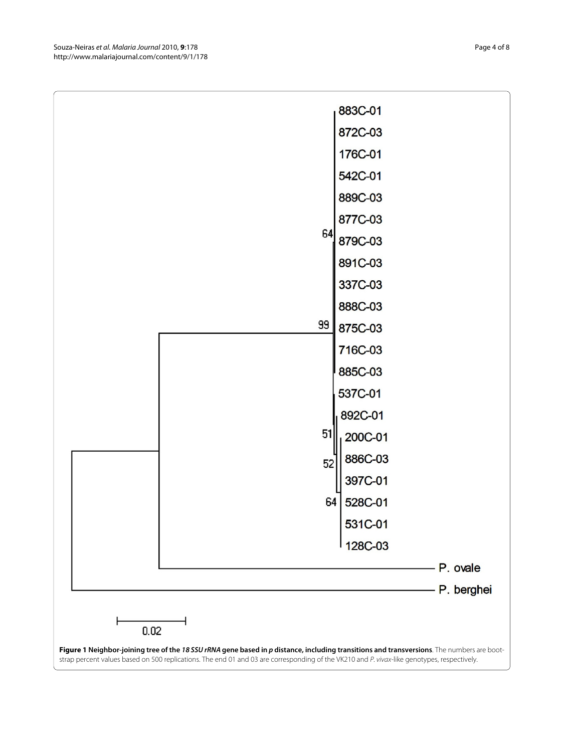<span id="page-3-0"></span>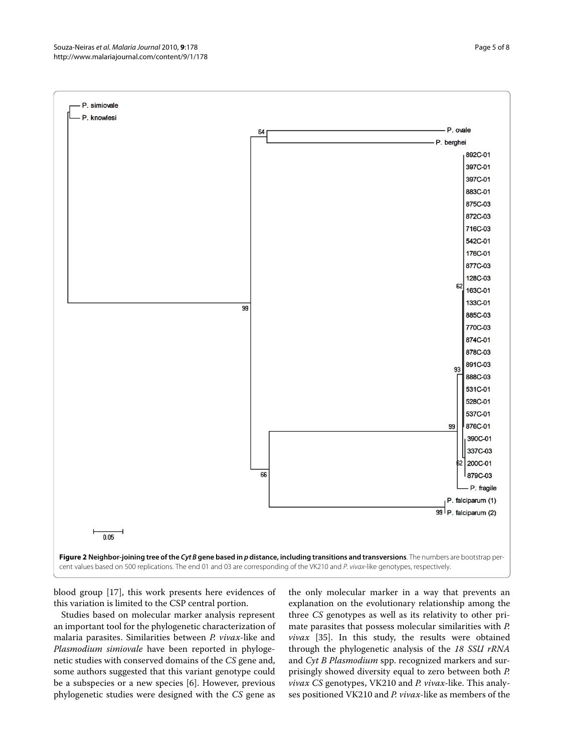<span id="page-4-0"></span>

blood group [[17](#page-6-7)], this work presents here evidences of this variation is limited to the CSP central portion.

Studies based on molecular marker analysis represent an important tool for the phylogenetic characterization of malaria parasites. Similarities between *P. vivax*-like and *Plasmodium simiovale* have been reported in phylogenetic studies with conserved domains of the *CS* gene and, some authors suggested that this variant genotype could be a subspecies or a new species [[6\]](#page-6-5). However, previous phylogenetic studies were designed with the *CS* gene as

the only molecular marker in a way that prevents an explanation on the evolutionary relationship among the three *CS* genotypes as well as its relativity to other primate parasites that possess molecular similarities with *P. vivax* [\[35](#page-7-4)]. In this study, the results were obtained through the phylogenetic analysis of the *18 SSU rRNA* and *Cyt B Plasmodium* spp. recognized markers and surprisingly showed diversity equal to zero between both *P. vivax CS* genotypes, VK210 and *P. vivax*-like. This analyses positioned VK210 and *P. vivax*-like as members of the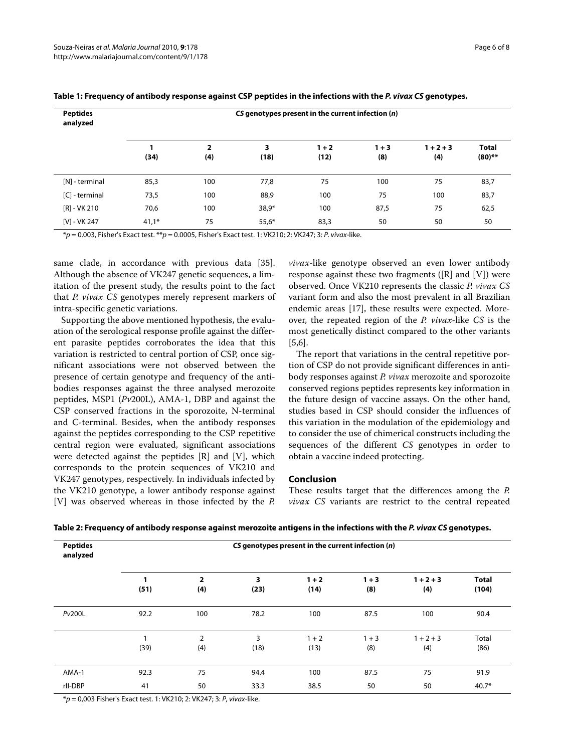| <b>Peptides</b><br>analyzed | CS genotypes present in the current infection (n) |                                |           |                 |                |                    |                           |  |  |
|-----------------------------|---------------------------------------------------|--------------------------------|-----------|-----------------|----------------|--------------------|---------------------------|--|--|
|                             | (34)                                              | $\overline{\mathbf{2}}$<br>(4) | 3<br>(18) | $1 + 2$<br>(12) | $1 + 3$<br>(8) | $1 + 2 + 3$<br>(4) | <b>Total</b><br>$(80)$ ** |  |  |
| [N] - terminal              | 85,3                                              | 100                            | 77,8      | 75              | 100            | 75                 | 83,7                      |  |  |
| [C] - terminal              | 73,5                                              | 100                            | 88,9      | 100             | 75             | 100                | 83,7                      |  |  |
| $[R] - VK 210$              | 70,6                                              | 100                            | $38,9*$   | 100             | 87,5           | 75                 | 62,5                      |  |  |
| [V] - VK 247                | $41,1*$                                           | 75                             | $55,6*$   | 83,3            | 50             | 50                 | 50                        |  |  |

**Table 1: Frequency of antibody response against CSP peptides in the infections with the P. vivax CS genotypes.**

 $*p = 0.003$ , Fisher's Exact test.  $**p = 0.0005$ , Fisher's Exact test. 1: VK210; 2: VK247; 3: P. vivax-like.

same clade, in accordance with previous data [\[35](#page-7-4)]. Although the absence of VK247 genetic sequences, a limitation of the present study, the results point to the fact that *P. vivax CS* genotypes merely represent markers of intra-specific genetic variations.

Supporting the above mentioned hypothesis, the evaluation of the serological response profile against the different parasite peptides corroborates the idea that this variation is restricted to central portion of CSP, once significant associations were not observed between the presence of certain genotype and frequency of the antibodies responses against the three analysed merozoite peptides, MSP1 (*Pv*200L), AMA-1, DBP and against the CSP conserved fractions in the sporozoite, N-terminal and C-terminal. Besides, when the antibody responses against the peptides corresponding to the CSP repetitive central region were evaluated, significant associations were detected against the peptides  $[R]$  and  $[V]$ , which corresponds to the protein sequences of VK210 and VK247 genotypes, respectively. In individuals infected by the VK210 genotype, a lower antibody response against [V] was observed whereas in those infected by the *P.*

*vivax*-like genotype observed an even lower antibody response against these two fragments ( $[R]$  and  $[V]$ ) were observed. Once VK210 represents the classic *P. vivax CS* variant form and also the most prevalent in all Brazilian endemic areas [[17](#page-6-7)], these results were expected. Moreover, the repeated region of the *P. vivax*-like *CS* is the most genetically distinct compared to the other variants [[5,](#page-6-4)[6\]](#page-6-5).

The report that variations in the central repetitive portion of CSP do not provide significant differences in antibody responses against *P. vivax* merozoite and sporozoite conserved regions peptides represents key information in the future design of vaccine assays. On the other hand, studies based in CSP should consider the influences of this variation in the modulation of the epidemiology and to consider the use of chimerical constructs including the sequences of the different *CS* genotypes in order to obtain a vaccine indeed protecting.

#### **Conclusion**

These results target that the differences among the *P. vivax CS* variants are restrict to the central repeated

| <b>Peptides</b><br>analyzed | CS genotypes present in the current infection $(n)$ |                       |           |                 |                |                    |                       |  |  |
|-----------------------------|-----------------------------------------------------|-----------------------|-----------|-----------------|----------------|--------------------|-----------------------|--|--|
|                             | 1<br>(51)                                           | $\overline{2}$<br>(4) | 3<br>(23) | $1 + 2$<br>(14) | $1 + 3$<br>(8) | $1 + 2 + 3$<br>(4) | <b>Total</b><br>(104) |  |  |
| <b>Pv200L</b>               | 92.2                                                | 100                   | 78.2      | 100             | 87.5           | 100                | 90.4                  |  |  |
|                             | (39)                                                | $\overline{2}$<br>(4) | 3<br>(18) | $1 + 2$<br>(13) | $1 + 3$<br>(8) | $1 + 2 + 3$<br>(4) | Total<br>(86)         |  |  |
| AMA-1                       | 92.3                                                | 75                    | 94.4      | 100             | 87.5           | 75                 | 91.9                  |  |  |
| rll-DBP                     | 41                                                  | 50                    | 33.3      | 38.5            | 50             | 50                 | $40.7*$               |  |  |

 $* p = 0,003$  Fisher's Exact test. 1: VK210; 2: VK247; 3: P, vivax-like.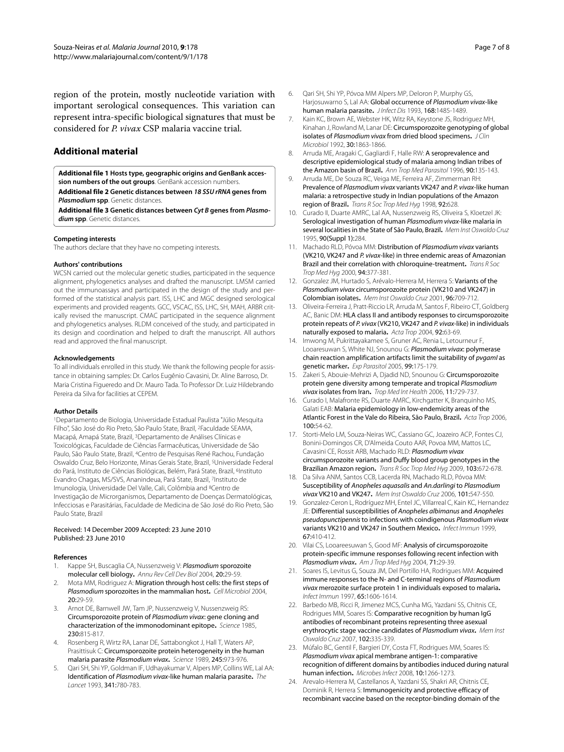region of the protein, mostly nucleotide variation with important serological consequences. This variation can represent intra-specific biological signatures that must be considered for *P. vivax* CSP malaria vaccine trial.

## **Additional material**

<span id="page-6-22"></span><span id="page-6-21"></span>**[Additional file 1](http://www.biomedcentral.com/content/supplementary/1475-2875-9-178-S1.DOC) Hosts type, geographic origins and GenBank accession numbers of the out groups**. GenBank accession numbers. **[Additional file 2](http://www.biomedcentral.com/content/supplementary/1475-2875-9-178-S2.DOC) Genetic distances between 18 SSU rRNA genes from Plasmodium spp**. Genetic distances.

<span id="page-6-23"></span>**[Additional file 3](http://www.biomedcentral.com/content/supplementary/1475-2875-9-178-S3.DOC) Genetic distances between Cyt B genes from Plasmodium spp**. Genetic distances.

#### **Competing interests**

The authors declare that they have no competing interests.

#### **Authors' contributions**

WCSN carried out the molecular genetic studies, participated in the sequence alignment, phylogenetics analyses and drafted the manuscript. LMSM carried out the immunoassays and participated in the design of the study and performed of the statistical analysis part. ISS, LHC and MGC designed serological experiments and provided reagents. GCC, VSCAC, ISS, LHC, SH, MAH, ARBR critically revised the manuscript. CMAC participated in the sequence alignment and phylogenetics analyses. RLDM conceived of the study, and participated in its design and coordination and helped to draft the manuscript. All authors read and approved the final manuscript.

#### **Acknowledgements**

To all individuals enrolled in this study. We thank the following people for assistance in obtaining samples: Dr. Carlos Eugênio Cavasini, Dr. Aline Barroso, Dr. Maria Cristina Figueredo and Dr. Mauro Tada. To Professor Dr. Luiz Hildebrando Pereira da Silva for facilities at CEPEM.

#### **Author Details**

1Departamento de Biologia, Universidade Estadual Paulista "Júlio Mesquita Filho", São José do Rio Preto, São Paulo State, Brazil, 2Faculdade SEAMA, Macapá, Amapá State, Brazil, 3Departamento de Análises Clínicas e Toxicológicas, Faculdade de Ciências Farmacêuticas, Universidade de São Paulo, São Paulo State, Brazil, 4Centro de Pesquisas René Rachou, Fundação Oswaldo Cruz, Belo Horizonte, Minas Gerais State, Brazil, 5Universidade Federal do Pará, Instituto de Ciências Biológicas, Belém, Pará State, Brazil, 6Instituto Evandro Chagas, MS/SVS, Ananindeua, Pará State, Brazil, 7Instituto de Imunologia, Universidade Del Valle, Cali, Colômbia and 8Centro de Investigação de Microrganismos, Departamento de Doenças Dermatológicas, Infecciosas e Parasitárias, Faculdade de Medicina de São José do Rio Preto, São Paulo State, Brazil

#### Received: 14 December 2009 Accepted: 23 June 2010 Published: 23 June 2010

#### **References**

- <span id="page-6-0"></span>Kappe SH, Buscaglia CA, Nussenzweig V: Plasmodium sporozoite molecular cell biology**[.](http://www.ncbi.nlm.nih.gov/entrez/query.fcgi?cmd=Retrieve&db=PubMed&dopt=Abstract&list_uids=15473834)** Annu Rev Cell Dev Biol 2004, 20:29-59.
- <span id="page-6-1"></span>2. Mota MM, Rodriguez A: Migration through host cells: the first steps of Plasmodium sporozoites in the mammalian host**.** Cell Microbiol 2004, 20:29-59.
- <span id="page-6-2"></span>Arnot DE, Barnwell JW, Tam JP, Nussenzweig V, Nussenzweig RS: Circumsporozoite protein of Plasmodium vivax: gene cloning and characterization of the immonodominant epitope**.** Science 1985, 230:815-817.
- <span id="page-6-3"></span>4. Rosenberg R, Wirtz RA, Lanar DE, Sattabongkot J, Hall T, Waters AP, Prasittisuk C: Circumsporozoite protein heterogeneity in the human malaria parasite Plasmodium vivax**.** Science 1989, 245:973-976.
- <span id="page-6-4"></span>Qari SH, Shi YP, Goldman IF, Udhayakumar V, Alpers MP, Collins WE, Lal AA: Identification of Plasmodium vivax-like human malaria parasite**.** The Lancet 1993, 341:780-783.
- <span id="page-6-5"></span>6. Qari SH, Shi YP, Póvoa MM Alpers MP, Deloron P, Murphy GS, Harjosuwarno S, Lal AA: Global occurrence of Plasmodium vivax-like human malaria parasite**.** J Infect Dis 1993, 168:1485-1489.
- <span id="page-6-6"></span>7. Kain KC, Brown AE, Webster HK, Witz RA, Keystone JS, Rodriguez MH, Kinahan J, Rowland M, Lanar DE: Circumsporozoite genotyping of global i[s](http://www.ncbi.nlm.nih.gov/entrez/query.fcgi?cmd=Retrieve&db=PubMed&dopt=Abstract&list_uids=1629344)olates of Plasmodium vivax from dried blood specimens. J Clin Microbiol 1992, 30:1863-1866.
- <span id="page-6-11"></span>8. Arruda ME, Aragaki C, Gagliardi F, Halle RW: A seroprevalence and descriptive epidemiological study of malaria among Indian tribes of the Amazon basin of Brazil**.** Ann Trop Med Parasitol 1996, 90:135-143.
- <span id="page-6-12"></span>9. Arruda ME, De Souza RC, Veiga ME, Ferreira AF, Zimmerman RH: Prevalence of Plasmodium vivax variants VK247 and P. vivax-like human malaria: a retrospective study in Indian populations of the Amazon region of Brazil**.** Trans R Soc Trop Med Hyg 1998, 92:628.
- <span id="page-6-9"></span>10. Curado II, Duarte AMRC, Lal AA, Nussenzweig RS, Oliveira S, Kloetzel JK: Serological investigation of human Plasmodium vivax-like malaria in several localities in the State of São Paulo, Brazil**.** Mem Inst Oswaldo Cruz 1995, 90(Suppl 1):284.
- <span id="page-6-8"></span>11. Machado RLD, Póvoa MM: Distribution of Plasmodium vivax variants (VK210, VK247 and P. vivax-like) in three endemic areas of Amazonian Brazil and their correlation with chloroquine-treatment**.** Trans R Soc Trop Med Hyg 2000, 94:377-381.
- 12. Gonzalez JM, Hurtado S, Arévalo-Herrera M, Herrera S: Variants of the Plasmodium vivax circumsporozoite protein (VK210 and VK247) in Colombian isolates**.** Mem Inst Oswaldo Cruz 2001, 96:709-712.
- <span id="page-6-13"></span>13. Oliveira-Ferreira J, Pratt-Riccio LR, Arruda M, Santos F, Ribeiro CT, Goldberg AC, Banic DM: HLA class II and antibody responses to circumsporozoite protein repeats of P. vivax (VK210, VK247 and P. vivax-like) in individuals naturally exposed to malaria**.** Acta Trop 2004, 92:63-69.
- 14. Imwong M, Pukrittayakamee S, Gruner AC, Renia L, Letourneur F, Looaresuwan S, White NJ, Snounou G: Plasmodium vivax: polymerase chain reaction amplification artifacts limit the suitability of pvgaml as genetic marker**.** Exp Parasitol 2005, 99:175-179.
- 15. Zakeri S, Abouie-Mehrizi A, Djadid ND, Snounou G: Circumsporozoite protein gene diversity among temperate and tropical Plasmodium vivax isolates from Iran**.** Trop Med Int Health 2006, 11:729-737.
- <span id="page-6-10"></span>16. Curado I, Malafronte RS, Duarte AMRC, Kirchgatter K, Branquinho MS, Galati EAB: Malaria epidemiology in low-endemicity areas of the Atlantic Forest in the Vale do Ribeira, São Paulo, Brazil**.** Acta Trop 2006, 100:54-62.
- <span id="page-6-7"></span>17. Storti-Melo LM, Souza-Neiras WC, Cassiano GC, Joazeiro ACP, Fontes CJ, Bonini-Domingos CR, D'Almeida Couto AAR, Povoa MM, Mattos LC, Cavasini CE, Rossit ARB, Machado RLD: Plasmodium vivax circumsporozoite variants and Duffy blood group genotypes in the Brazilian Amazon region**[.](http://www.ncbi.nlm.nih.gov/entrez/query.fcgi?cmd=Retrieve&db=PubMed&dopt=Abstract&list_uids=18804827)** Trans R Soc Trop Med Hyg 2009, 103:672-678.
- <span id="page-6-14"></span>18. Da Silva ANM, Santos CCB, Lacerda RN, Machado RLD, Póvoa MM: Susceptibility of Anopheles aquasalis and An.darlingi to Plasmodium vivax VK210 and VK247**[.](http://www.ncbi.nlm.nih.gov/entrez/query.fcgi?cmd=Retrieve&db=PubMed&dopt=Abstract&list_uids=17072460)** Mem Inst Oswaldo Cruz 2006, 101:547-550.
- <span id="page-6-15"></span>19. Gonzalez-Ceron L, Rodríguez MH, Entel JC, Villarreal C, Kain KC, Hernandez JE: Differential susceptibilities of Anopheles albimanus and Anopheles pseudopunctipennis to infections with coindigenous Plasmodium vivax variants VK210 and VK247 in Southern Mexico**.** Infect Immun 1999, 67:410-412.
- <span id="page-6-16"></span>20. Vilai CS, Looareesuwan S, Good MF: Analysis of circumsporozoite protein-specific immune responses following recent infection with Plasmodium vivax**.** Am J Trop Med Hyg 2004, 71:29-39.
- <span id="page-6-17"></span>21. Soares IS, Levitus G, Souza JM, Del Portillo HA, Rodrigues MM: Acquired immune responses to the N- and C-terminal regions of Plasmodium vivax merozoite surface protein 1 in individuals exposed to malaria**[.](http://www.ncbi.nlm.nih.gov/entrez/query.fcgi?cmd=Retrieve&db=PubMed&dopt=Abstract&list_uids=9125537)** Infect Immun 1997, 65:1606-1614.
- <span id="page-6-18"></span>22. Barbedo MB, Ricci R, Jimenez MCS, Cunha MG, Yazdani SS, Chitnis CE, Rodrigues MM, Soares IS: Comparative recognition by human IgG antibodies of recombinant proteins representing three asexual erythrocytic stage vaccine candidates of Plasmodium vivax**.** Mem Inst Oswaldo Cruz 2007, 102:335-339.
- <span id="page-6-19"></span>23. Múfalo BC, Gentil F, Bargieri DY, Costa FT, Rodrigues MM, Soares IS: Plasmodium vivax apical membrane antigen-1: comparative recognition of different domains by antibodies induced during natural human infection**[.](http://www.ncbi.nlm.nih.gov/entrez/query.fcgi?cmd=Retrieve&db=PubMed&dopt=Abstract&list_uids=18692152)** Microbes Infect 2008, 10:1266-1273.
- <span id="page-6-20"></span>24. Arevalo-Herrera M, Castellanos A, Yazdani SS, Shakri AR, Chitnis CE, Dominik R, Herrera S: Immunogenicity and protective efficacy of recombinant vaccine based on the receptor-binding domain of the